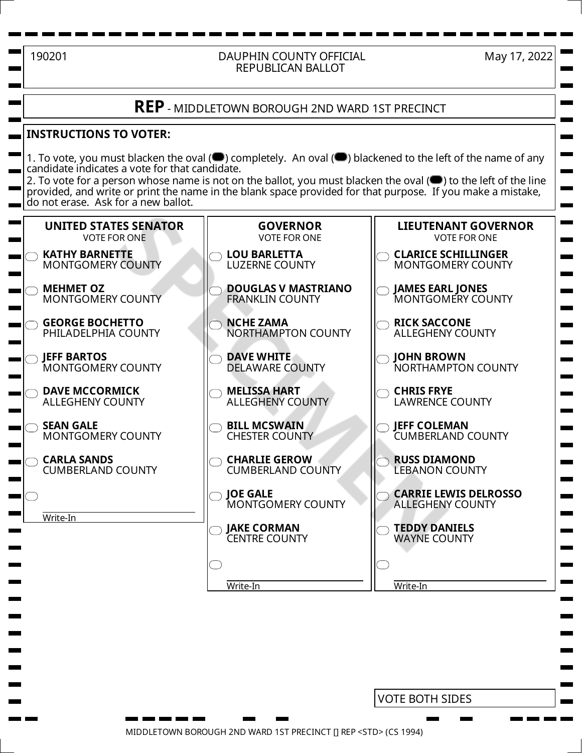## 190201 DAUPHIN COUNTY OFFICIAL REPUBLICAN BALLOT

May 17, 2022

## **REP** - MIDDLETOWN BOROUGH 2ND WARD 1ST PRECINCT

## **INSTRUCTIONS TO VOTER:**

1. To vote, you must blacken the oval (●) completely. An oval (●) blackened to the left of the name of any candidate indicates a vote for that candidate.

2. To vote for a person whose name is not on the ballot, you must blacken the oval  $($ **)** to the left of the line provided, and write or print the name in the blank space provided for that purpose. If you make a mistake, do not erase. Ask for a new ballot.



VOTE BOTH SIDES